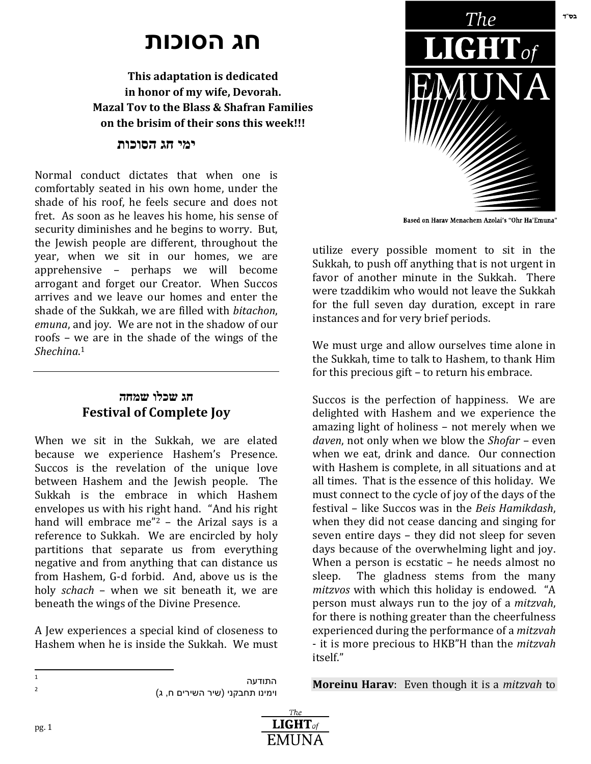# **חג הסוכות**

**This adaptation is dedicated in honor of my wife, Devorah. Mazal Tov to the Blass & Shafran Families on the brisim of their sons this week!!!**

### **ימי חג הסוכות**

Normal conduct dictates that when one is comfortably seated in his own home, under the shade of his roof, he feels secure and does not fret. As soon as he leaves his home, his sense of security diminishes and he begins to worry. But, the Jewish people are different, throughout the year, when we sit in our homes, we are apprehensive – perhaps we will become arrogant and forget our Creator. When Succos arrives and we leave our homes and enter the shade of the Sukkah, we are filled with *bitachon*, *emuna*, and joy. We are not in the shadow of our roofs – we are in the shade of the wings of the *Shechina*. 1

### **חג שכלו שמחה Festival of Complete Joy**

When we sit in the Sukkah, we are elated because we experience Hashem's Presence. Succos is the revelation of the unique love between Hashem and the Jewish people. The Sukkah is the embrace in which Hashem envelopes us with his right hand. "And his right hand will embrace me"<sup>2</sup> - the Arizal says is a reference to Sukkah. We are encircled by holy partitions that separate us from everything negative and from anything that can distance us from Hashem, G-d forbid. And, above us is the holy *schach* – when we sit beneath it, we are beneath the wings of the Divine Presence.

A Jew experiences a special kind of closeness to Hashem when he is inside the Sukkah. We must

 $\frac{1}{1}$ 

pg. 1

התודעה וימינו תחבקני (שיר השירים ח, ג)



Based on Harav Menachem Azolai's "Ohr Ha'Emuna"

utilize every possible moment to sit in the Sukkah, to push off anything that is not urgent in favor of another minute in the Sukkah. There were tzaddikim who would not leave the Sukkah for the full seven day duration, except in rare instances and for very brief periods.

We must urge and allow ourselves time alone in the Sukkah, time to talk to Hashem, to thank Him for this precious gift – to return his embrace.

Succos is the perfection of happiness. We are delighted with Hashem and we experience the amazing light of holiness – not merely when we *daven*, not only when we blow the *Shofar* – even when we eat, drink and dance. Our connection with Hashem is complete, in all situations and at all times. That is the essence of this holiday. We must connect to the cycle of joy of the days of the festival – like Succos was in the *Beis Hamikdash*, when they did not cease dancing and singing for seven entire days – they did not sleep for seven days because of the overwhelming light and joy. When a person is ecstatic – he needs almost no sleep. The gladness stems from the many *mitzvos* with which this holiday is endowed. "A person must always run to the joy of a *mitzvah*, for there is nothing greater than the cheerfulness experienced during the performance of a *mitzvah* - it is more precious to HKB"H than the *mitzvah* itself."

**Moreinu Harav**: Even though it is a *mitzvah* to

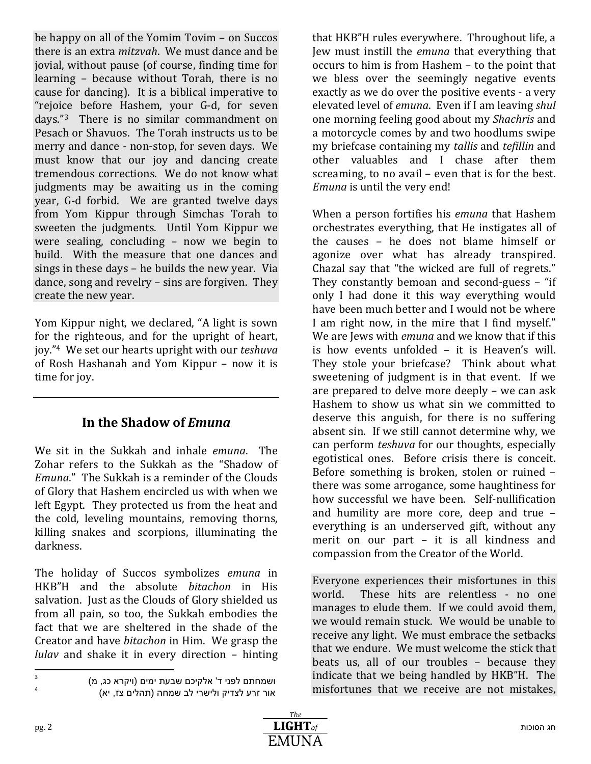be happy on all of the Yomim Tovim – on Succos there is an extra *mitzvah*. We must dance and be jovial, without pause (of course, finding time for learning – because without Torah, there is no cause for dancing). It is a biblical imperative to "rejoice before Hashem, your G-d, for seven days."3 There is no similar commandment on Pesach or Shavuos. The Torah instructs us to be merry and dance - non-stop, for seven days. We must know that our joy and dancing create tremendous corrections. We do not know what judgments may be awaiting us in the coming year, G-d forbid. We are granted twelve days from Yom Kippur through Simchas Torah to sweeten the judgments. Until Yom Kippur we were sealing, concluding – now we begin to build. With the measure that one dances and sings in these days – he builds the new year. Via dance, song and revelry – sins are forgiven. They create the new year.

Yom Kippur night, we declared, "A light is sown for the righteous, and for the upright of heart, joy."4 We set our hearts upright with our *teshuva* of Rosh Hashanah and Yom Kippur – now it is time for joy.

## **In the Shadow of** *Emuna*

We sit in the Sukkah and inhale *emuna*. The Zohar refers to the Sukkah as the "Shadow of *Emuna*." The Sukkah is a reminder of the Clouds of Glory that Hashem encircled us with when we left Egypt. They protected us from the heat and the cold, leveling mountains, removing thorns, killing snakes and scorpions, illuminating the darkness.

The holiday of Succos symbolizes *emuna* in HKB"H and the absolute *bitachon* in His salvation. Just as the Clouds of Glory shielded us from all pain, so too, the Sukkah embodies the fact that we are sheltered in the shade of the Creator and have *bitachon* in Him. We grasp the *lulav* and shake it in every direction – hinting

 $\frac{1}{3}$ 4

that HKB"H rules everywhere. Throughout life, a Jew must instill the *emuna* that everything that occurs to him is from Hashem – to the point that we bless over the seemingly negative events exactly as we do over the positive events - a very elevated level of *emuna*. Even if I am leaving *shul* one morning feeling good about my *Shachris* and a motorcycle comes by and two hoodlums swipe my briefcase containing my *tallis* and *tefillin* and other valuables and I chase after them screaming, to no avail – even that is for the best. *Emuna* is until the very end!

When a person fortifies his *emuna* that Hashem orchestrates everything, that He instigates all of the causes – he does not blame himself or agonize over what has already transpired. Chazal say that "the wicked are full of regrets." They constantly bemoan and second-guess – "if only I had done it this way everything would have been much better and I would not be where I am right now, in the mire that I find myself." We are Jews with *emuna* and we know that if this is how events unfolded – it is Heaven's will. They stole your briefcase? Think about what sweetening of judgment is in that event. If we are prepared to delve more deeply – we can ask Hashem to show us what sin we committed to deserve this anguish, for there is no suffering absent sin. If we still cannot determine why, we can perform *teshuva* for our thoughts, especially egotistical ones. Before crisis there is conceit. Before something is broken, stolen or ruined – there was some arrogance, some haughtiness for how successful we have been. Self-nullification and humility are more core, deep and true – everything is an underserved gift, without any merit on our part – it is all kindness and compassion from the Creator of the World.

Everyone experiences their misfortunes in this world. These hits are relentless - no one manages to elude them. If we could avoid them, we would remain stuck. We would be unable to receive any light. We must embrace the setbacks that we endure. We must welcome the stick that beats us, all of our troubles – because they indicate that we being handled by HKB"H. The misfortunes that we receive are not mistakes,

ושמחתם לפני ד' אלקיכם שבעת ימים (ויקרא כג, מ) אור זרע לצדיק ולישרי לב שמחה (תהלים צז, יא)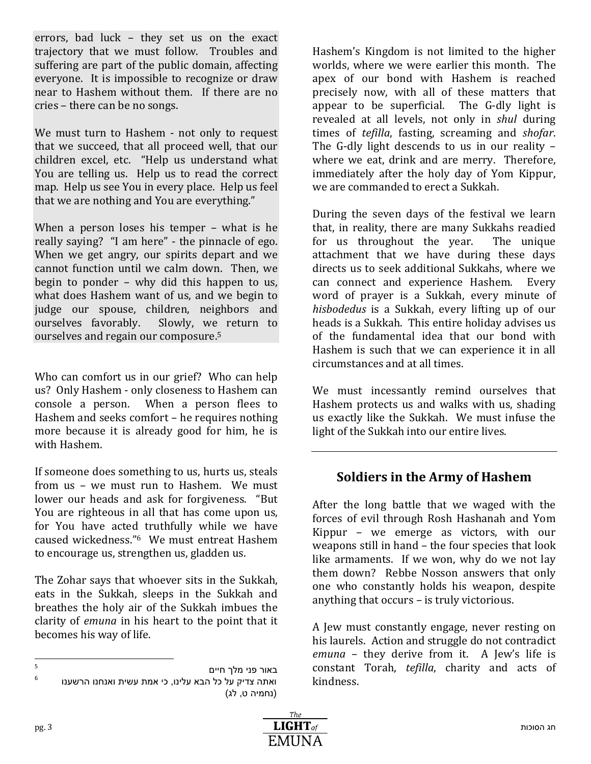errors, bad luck – they set us on the exact trajectory that we must follow. Troubles and suffering are part of the public domain, affecting everyone. It is impossible to recognize or draw near to Hashem without them. If there are no cries – there can be no songs.

We must turn to Hashem - not only to request that we succeed, that all proceed well, that our children excel, etc. "Help us understand what You are telling us. Help us to read the correct map. Help us see You in every place. Help us feel that we are nothing and You are everything."

When a person loses his temper – what is he really saying? "I am here" - the pinnacle of ego. When we get angry, our spirits depart and we cannot function until we calm down. Then, we begin to ponder – why did this happen to us, what does Hashem want of us, and we begin to judge our spouse, children, neighbors and ourselves favorably. Slowly, we return to ourselves and regain our composure.<sup>5</sup>

Who can comfort us in our grief? Who can help us? Only Hashem - only closeness to Hashem can console a person. When a person flees to Hashem and seeks comfort – he requires nothing more because it is already good for him, he is with Hashem.

If someone does something to us, hurts us, steals from us – we must run to Hashem. We must lower our heads and ask for forgiveness. "But You are righteous in all that has come upon us, for You have acted truthfully while we have caused wickedness."6 We must entreat Hashem to encourage us, strengthen us, gladden us.

The Zohar says that whoever sits in the Sukkah, eats in the Sukkah, sleeps in the Sukkah and breathes the holy air of the Sukkah imbues the clarity of *emuna* in his heart to the point that it becomes his way of life.

Hashem's Kingdom is not limited to the higher worlds, where we were earlier this month. The apex of our bond with Hashem is reached precisely now, with all of these matters that appear to be superficial. The G-dly light is revealed at all levels, not only in *shul* during times of *tefilla*, fasting, screaming and *shofar*. The G-dly light descends to us in our reality – where we eat, drink and are merry. Therefore, immediately after the holy day of Yom Kippur, we are commanded to erect a Sukkah.

During the seven days of the festival we learn that, in reality, there are many Sukkahs readied for us throughout the year. The unique attachment that we have during these days directs us to seek additional Sukkahs, where we can connect and experience Hashem. Every word of prayer is a Sukkah, every minute of *hisbodedus* is a Sukkah, every lifting up of our heads is a Sukkah. This entire holiday advises us of the fundamental idea that our bond with Hashem is such that we can experience it in all circumstances and at all times.

We must incessantly remind ourselves that Hashem protects us and walks with us, shading us exactly like the Sukkah. We must infuse the light of the Sukkah into our entire lives.

# **Soldiers in the Army of Hashem**

After the long battle that we waged with the forces of evil through Rosh Hashanah and Yom Kippur – we emerge as victors, with our weapons still in hand – the four species that look like armaments. If we won, why do we not lay them down? Rebbe Nosson answers that only one who constantly holds his weapon, despite anything that occurs – is truly victorious.

A Jew must constantly engage, never resting on his laurels. Action and struggle do not contradict *emuna* – they derive from it. A Jew's life is constant Torah, *tefilla*, charity and acts of kindness.

<sup>–&</sup>lt;br>5 באור פני מלך חיים 6 ואתה צדיק על כל הבא עלינו, כי אמת עשית ואנחנו הרשענו (נחמיה ט, לג)